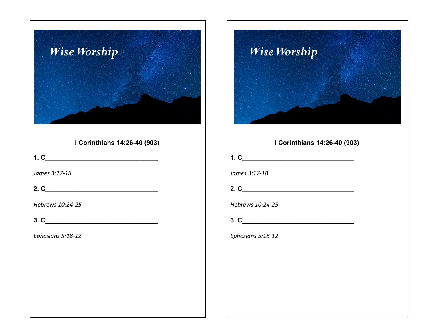



| I Corinthians 14:26-40 (903) |  |
|------------------------------|--|
|                              |  |
| James 3:17-18                |  |
|                              |  |
| Hebrews 10:24-25             |  |
| 3. C                         |  |
| Ephesians 5:18-12            |  |
|                              |  |
|                              |  |
|                              |  |